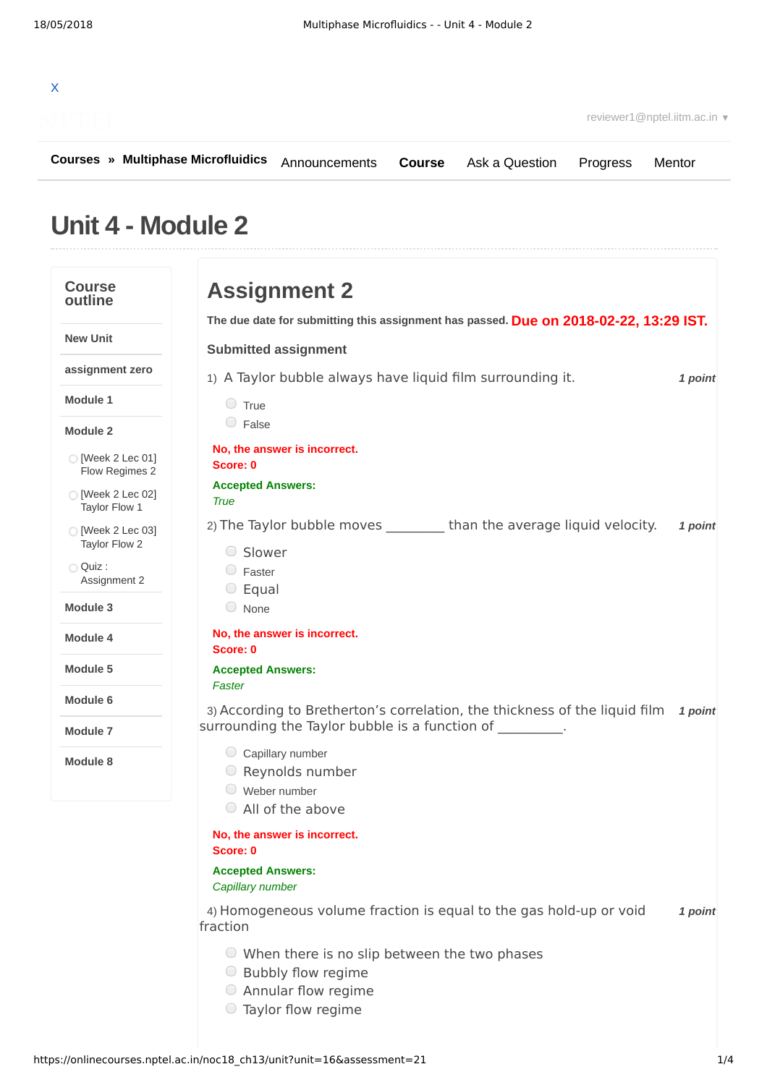## X

**[Courses](https://onlinecourses.nptel.ac.in/) » [Multiphase Microfluidics](https://onlinecourses.nptel.ac.in/noc18_ch13/course) [Course](https://onlinecourses.nptel.ac.in/noc18_ch13/course)** [Ask a Question](https://onlinecourses.nptel.ac.in/noc18_ch13/forum) [Progress](https://onlinecourses.nptel.ac.in/noc18_ch13/student/home) [Mentor](https://onlinecourses.nptel.ac.in/noc18_ch13/student/mentor)

## **Unit 4 - Module 2**

## **Course outline New Unit assignment zero Module 1 Module 2 Module 3 Module 4 Module 5 Module 6 Module 7 Module 8** [Week 2 Lec 01] Flow [Regimes](https://onlinecourses.nptel.ac.in/noc18_ch13/unit?unit=16&lesson=17) 2 [\[Week](https://onlinecourses.nptel.ac.in/noc18_ch13/unit?unit=16&lesson=18) 2 Lec 02] Taylor Flow 1 [\[Week](https://onlinecourses.nptel.ac.in/noc18_ch13/unit?unit=16&lesson=19) 2 Lec 03] Taylor Flow 2 Quiz : [Assignment](https://onlinecourses.nptel.ac.in/noc18_ch13/assessment?name=21) 2 **Due on 2018-02-22, 13:29 IST. The due date for submitting this assignment has passed.** 1) *1 point* A Taylor bubble always have liquid film surrounding it. 2) The Taylor bubble moves \_\_\_\_\_\_\_\_\_\_ than the average liquid velocity. *1 point* 3) According to Bretherton's correlation, the thickness of the liquid film 1 point 4) *1 point* Homogeneous volume fraction is equal to the gas hold-up or void **Assignment 2 Submitted assignment**  $\circ$  True C False **No, the answer is incorrect. Score: 0 Accepted Answers:** *True* Slower Faster  $\circ$  Equal None **No, the answer is incorrect. Score: 0 Accepted Answers:** *Faster* surrounding the Taylor bubble is a function of  $\hspace{1.5cm}$ .  $\circ$  Capillary number Reynolds number Weber number All of the above **No, the answer is incorrect. Score: 0 Accepted Answers:** *Capillary number* fraction When there is no slip between the two phases **■** Bubbly flow regime Annular flow regime Taylor flow regime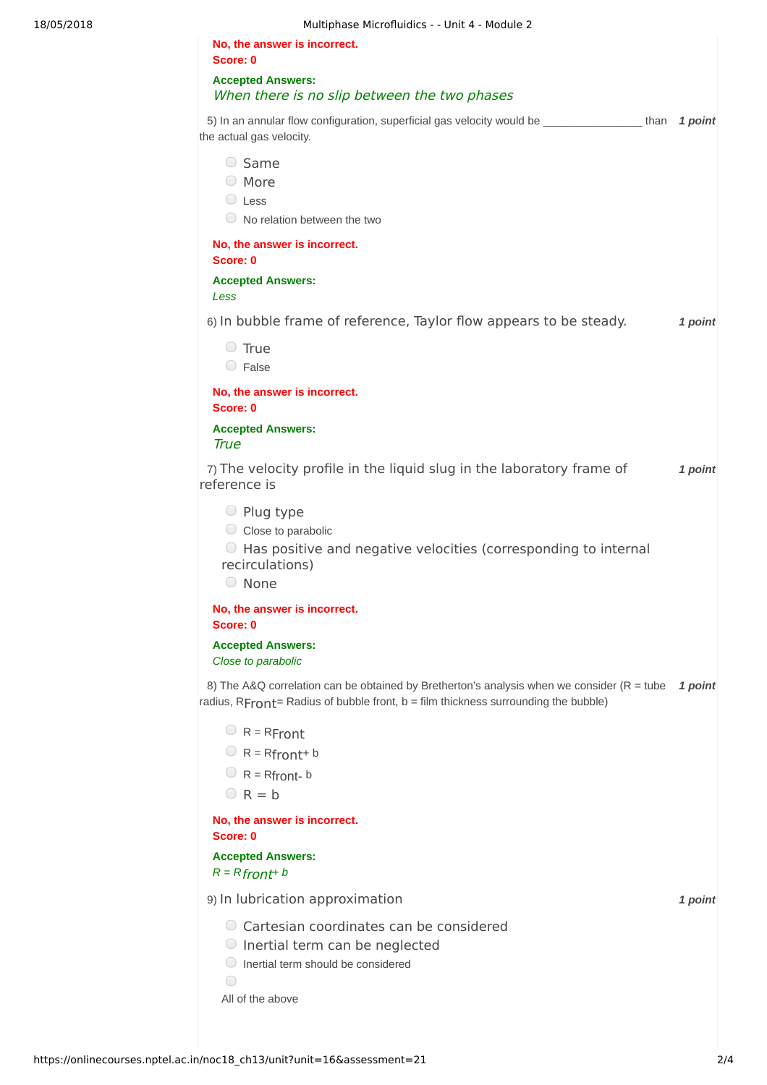| 5) In an annular flow configuration, superficial gas velocity would be ________________than 1 point |
|-----------------------------------------------------------------------------------------------------|
|                                                                                                     |
|                                                                                                     |
|                                                                                                     |
|                                                                                                     |
|                                                                                                     |
|                                                                                                     |
| 1 point                                                                                             |
|                                                                                                     |
|                                                                                                     |
|                                                                                                     |
|                                                                                                     |
|                                                                                                     |
| 1 point                                                                                             |
|                                                                                                     |
|                                                                                                     |
|                                                                                                     |
|                                                                                                     |
|                                                                                                     |
|                                                                                                     |
|                                                                                                     |
| 1 point                                                                                             |
|                                                                                                     |
|                                                                                                     |
|                                                                                                     |
|                                                                                                     |
|                                                                                                     |
|                                                                                                     |
| 1 point                                                                                             |
|                                                                                                     |
|                                                                                                     |
|                                                                                                     |
|                                                                                                     |
|                                                                                                     |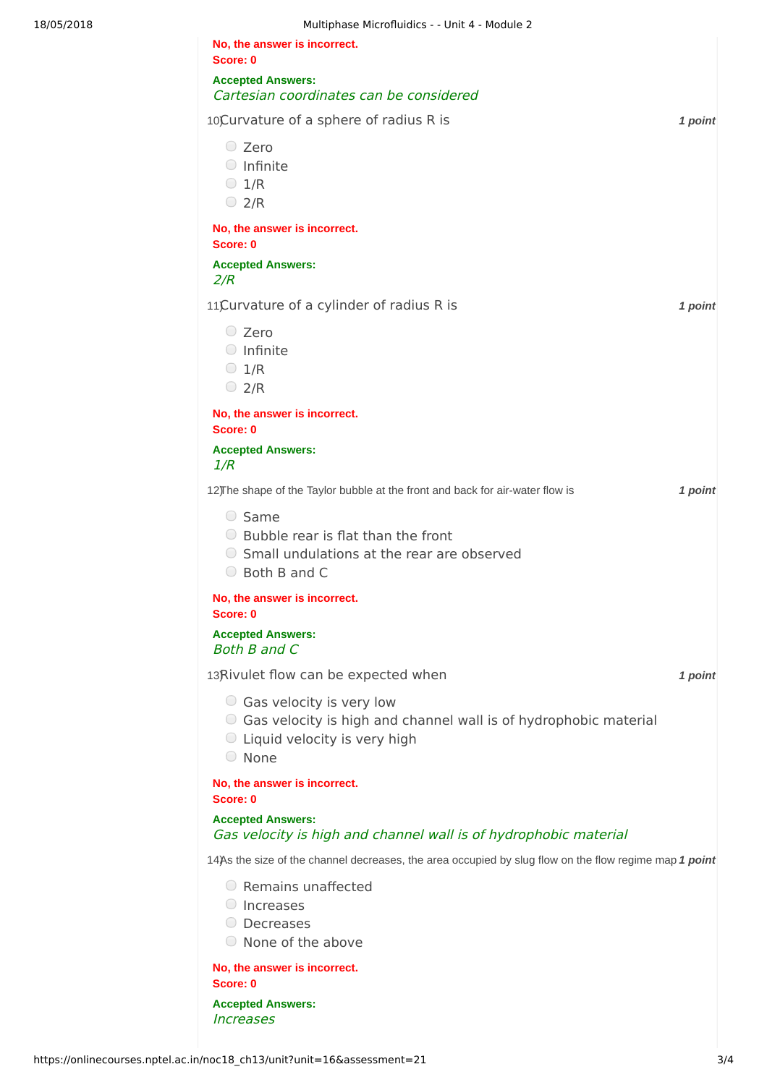| Multiphase Microfluidics - - Unit 4 - Module 2                                                                                                           |         |
|----------------------------------------------------------------------------------------------------------------------------------------------------------|---------|
| No, the answer is incorrect.                                                                                                                             |         |
| Score: 0<br><b>Accepted Answers:</b>                                                                                                                     |         |
| Cartesian coordinates can be considered                                                                                                                  |         |
| 10Curvature of a sphere of radius R is                                                                                                                   | 1 point |
| C Zero<br>$\bigcirc$ Infinite<br>$\bigcirc$ 1/R<br>$\bigcirc$ 2/R                                                                                        |         |
| No, the answer is incorrect.<br>Score: 0                                                                                                                 |         |
| <b>Accepted Answers:</b><br>2/R                                                                                                                          |         |
| 11)Curvature of a cylinder of radius R is                                                                                                                | 1 point |
| $\circ$ Zero<br>$\bigcirc$ Infinite<br>$\bigcirc$ 1/R<br>$\bigcirc$ 2/R                                                                                  |         |
| No, the answer is incorrect.<br>Score: 0                                                                                                                 |         |
| <b>Accepted Answers:</b><br>1/R                                                                                                                          |         |
| 12) The shape of the Taylor bubble at the front and back for air-water flow is                                                                           | 1 point |
| $\circ$ Same<br>$\bigcirc$ Bubble rear is flat than the front<br>○ Small undulations at the rear are observed<br>◯ Both B and C                          |         |
| No, the answer is incorrect.<br>Score: 0                                                                                                                 |         |
| <b>Accepted Answers:</b><br><b>Both B and C</b>                                                                                                          |         |
| 13Rivulet flow can be expected when                                                                                                                      | 1 point |
| $\circ$ Gas velocity is very low<br>○ Gas velocity is high and channel wall is of hydrophobic material<br>$\circ$ Liquid velocity is very high<br>○ None |         |
| No, the answer is incorrect.<br>Score: 0                                                                                                                 |         |
| <b>Accepted Answers:</b><br>Gas velocity is high and channel wall is of hydrophobic material                                                             |         |
| 14)As the size of the channel decreases, the area occupied by slug flow on the flow regime map 1 point                                                   |         |
| Remains unaffected<br>$\cup$<br>Increases<br>Decreases<br>$\cup$<br>◯ None of the above                                                                  |         |
|                                                                                                                                                          |         |

**No, the answer is incorrect. Score: 0**

**Accepted Answers:** Increases